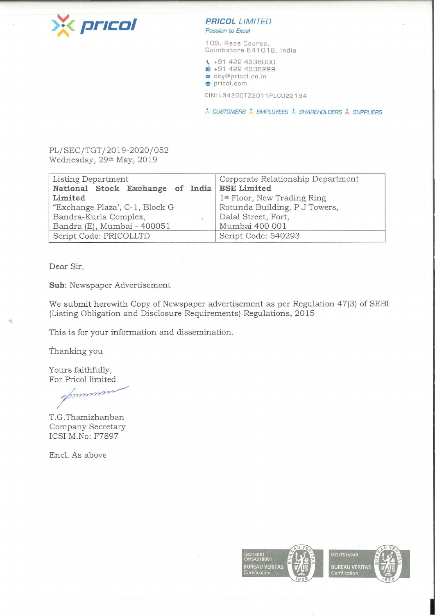

## **PRICOL LIMITED**

Passion to Excel

109, Race Course, Coimbatore 641018, India

**t,.** +91 422 4336000 1 +91 422 4336299

 $\approx$  city@pricol.co.in **e** pricol.com

CIN: L34200TZ2011 PLC022194

\* CUSTOMERS \* EMPLOYEES \* SHAREHOLDERS \* SUPPLIERS

PL/SEC/TGT/2019-2020/052 Wednesday, 29th May, 2019

| Listing Department                           | Corporate Relationship Department |
|----------------------------------------------|-----------------------------------|
| National Stock Exchange of India BSE Limited |                                   |
| Limited                                      | 1st Floor, New Trading Ring       |
| "Exchange Plaza', C-1, Block G               | Rotunda Building, P J Towers,     |
| Bandra-Kurla Complex,                        | Dalal Street, Fort,               |
| Bandra (E), Mumbai - 400051                  | Mumbai 400 001                    |
| Script Code: PRICOLLTD                       | Script Code: 540293               |

Dear Sir,

**Sub:** Newspaper Advertisement

We submit herewith Copy of Newspaper advertisement as per Regulation 47(3) of SEBI (Listing Obligation and Disclosure Requirements) Regulations, 2015

This is for your information and dissemination.

Thanking you

Yours faithfully, For Pricol limited

T.G.Thamizhanban Company Secretary ICSI M.No: F7897

Encl. As above